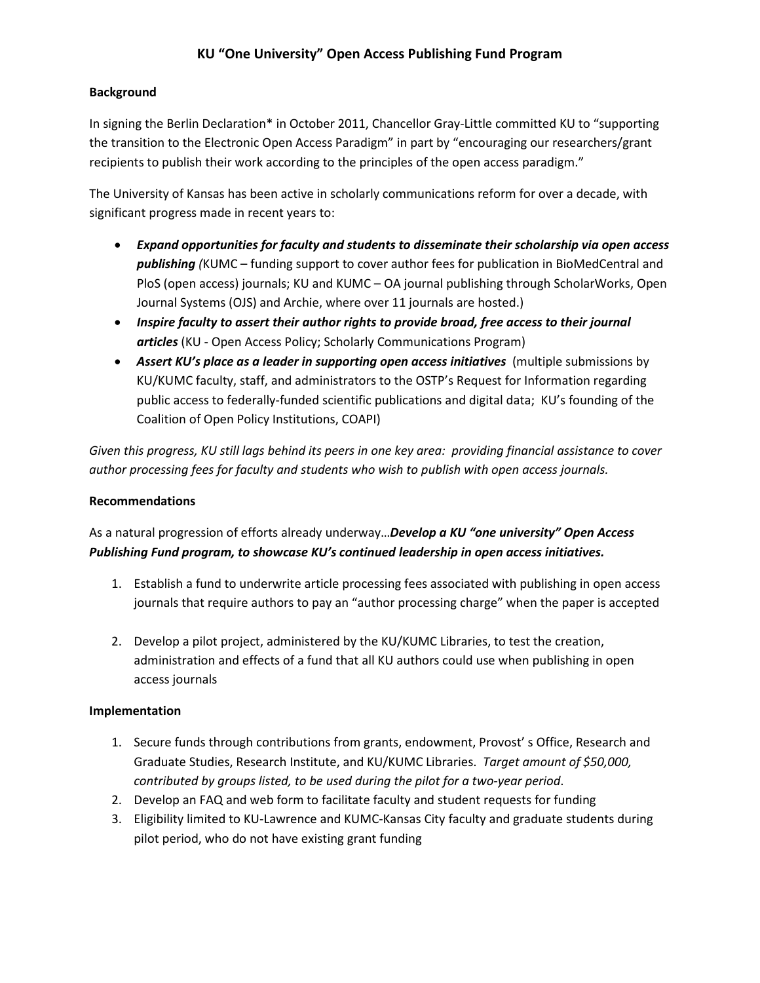## **KU "One University" Open Access Publishing Fund Program**

## **Background**

In signing the Berlin Declaration\* in October 2011, Chancellor Gray-Little committed KU to "supporting the transition to the Electronic Open Access Paradigm" in part by "encouraging our researchers/grant recipients to publish their work according to the principles of the open access paradigm."

The University of Kansas has been active in scholarly communications reform for over a decade, with significant progress made in recent years to:

- *Expand opportunities for faculty and students to disseminate their scholarship via open access publishing (*KUMC – funding support to cover author fees for publication in BioMedCentral and PloS (open access) journals; KU and KUMC – OA journal publishing through ScholarWorks, Open Journal Systems (OJS) and Archie, where over 11 journals are hosted.)
- *Inspire faculty to assert their author rights to provide broad, free access to their journal articles* (KU - Open Access Policy; Scholarly Communications Program)
- *Assert KU's place as a leader in supporting open access initiatives* (multiple submissions by KU/KUMC faculty, staff, and administrators to the OSTP's Request for Information regarding public access to federally-funded scientific publications and digital data; KU's founding of the Coalition of Open Policy Institutions, COAPI)

*Given this progress, KU still lags behind its peers in one key area: providing financial assistance to cover author processing fees for faculty and students who wish to publish with open access journals.*

#### **Recommendations**

# As a natural progression of efforts already underway…*Develop a KU "one university" Open Access Publishing Fund program, to showcase KU's continued leadership in open access initiatives.*

- 1. Establish a fund to underwrite article processing fees associated with publishing in open access journals that require authors to pay an "author processing charge" when the paper is accepted
- 2. Develop a pilot project, administered by the KU/KUMC Libraries, to test the creation, administration and effects of a fund that all KU authors could use when publishing in open access journals

#### **Implementation**

- 1. Secure funds through contributions from grants, endowment, Provost' s Office, Research and Graduate Studies, Research Institute, and KU/KUMC Libraries. *Target amount of \$50,000, contributed by groups listed, to be used during the pilot for a two-year period*.
- 2. Develop an FAQ and web form to facilitate faculty and student requests for funding
- 3. Eligibility limited to KU-Lawrence and KUMC-Kansas City faculty and graduate students during pilot period, who do not have existing grant funding